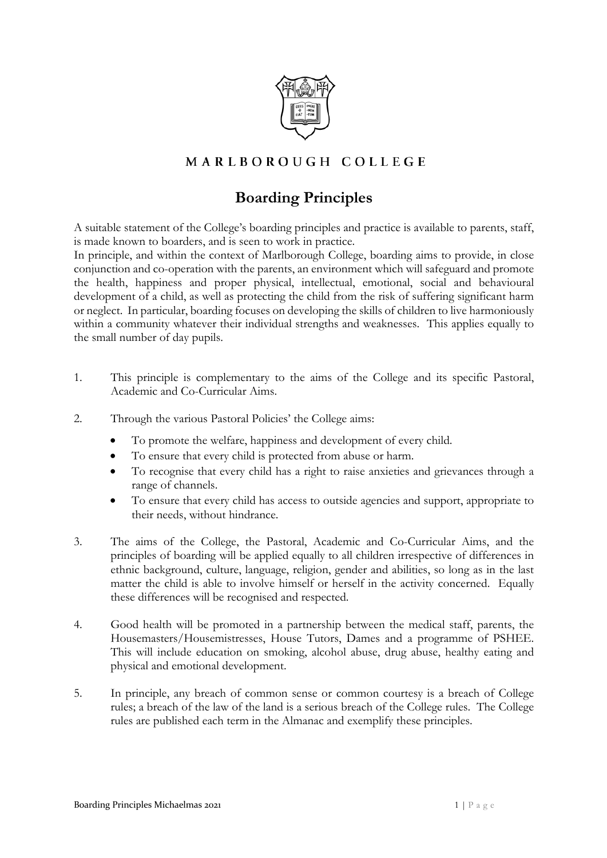

## MARLBOROUGH COLLEGE

## **Boarding Principles**

A suitable statement of the College's boarding principles and practice is available to parents, staff, is made known to boarders, and is seen to work in practice.

In principle, and within the context of Marlborough College, boarding aims to provide, in close conjunction and co-operation with the parents, an environment which will safeguard and promote the health, happiness and proper physical, intellectual, emotional, social and behavioural development of a child, as well as protecting the child from the risk of suffering significant harm or neglect. In particular, boarding focuses on developing the skills of children to live harmoniously within a community whatever their individual strengths and weaknesses. This applies equally to the small number of day pupils.

- 1. This principle is complementary to the aims of the College and its specific Pastoral, Academic and Co-Curricular Aims.
- 2. Through the various Pastoral Policies' the College aims:
	- To promote the welfare, happiness and development of every child.
	- To ensure that every child is protected from abuse or harm.
	- To recognise that every child has a right to raise anxieties and grievances through a range of channels.
	- To ensure that every child has access to outside agencies and support, appropriate to their needs, without hindrance.
- 3. The aims of the College, the Pastoral, Academic and Co-Curricular Aims, and the principles of boarding will be applied equally to all children irrespective of differences in ethnic background, culture, language, religion, gender and abilities, so long as in the last matter the child is able to involve himself or herself in the activity concerned. Equally these differences will be recognised and respected.
- 4. Good health will be promoted in a partnership between the medical staff, parents, the Housemasters/Housemistresses, House Tutors, Dames and a programme of PSHEE. This will include education on smoking, alcohol abuse, drug abuse, healthy eating and physical and emotional development.
- 5. In principle, any breach of common sense or common courtesy is a breach of College rules; a breach of the law of the land is a serious breach of the College rules. The College rules are published each term in the Almanac and exemplify these principles.